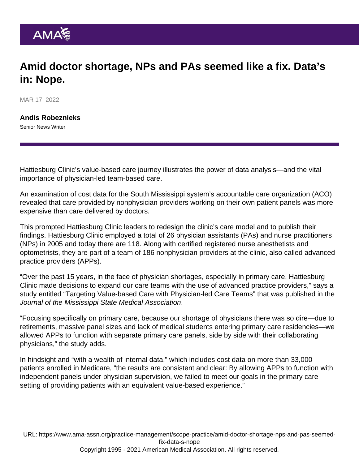## Amid doctor shortage, NPs and PAs seemed like a fix. Data's in: Nope.

MAR 17, 2022

[Andis Robeznieks](https://www.ama-assn.org/news-leadership-viewpoints/authors-news-leadership-viewpoints/andis-robeznieks) Senior News Writer

Hattiesburg Clinic's value-based care journey illustrates the power of data analysis—and the vital importance of physician-led team-based care.

An examination of cost data for the South Mississippi system's accountable care organization (ACO) revealed that care provided by nonphysician providers working on their own patient panels was more expensive than care delivered by doctors.

This prompted Hattiesburg Clinic leaders to redesign the clinic's care model and to publish their findings. Hattiesburg Clinic employed a total of 26 physician assistants (PAs) and nurse practitioners (NPs) in 2005 and today there are 118. Along with certified registered nurse anesthetists and optometrists, they are part of a team of 186 nonphysician providers at the clinic, also called advanced practice providers (APPs).

"Over the past 15 years, in the face of physician shortages, especially in primary care, Hattiesburg Clinic made decisions to expand our care teams with the use of advanced practice providers," says a study entitled ["Targeting Value-based Care with Physician-led Care Teams](https://ejournal.msmaonline.com/publication/?m=63060&i=735364&p=20&ver=html5)" that was published in the Journal of the Mississippi State Medical Association.

"Focusing specifically on primary care, because our shortage of physicians there was so dire—due to retirements, massive panel sizes and lack of medical students entering primary care residencies—we allowed APPs to function with separate primary care panels, side by side with their collaborating physicians," the study adds.

In hindsight and "with a wealth of internal data," which includes cost data on more than 33,000 patients enrolled in Medicare, "the results are consistent and clear: By allowing APPs to function with independent panels under physician supervision, we failed to meet our goals in the primary care setting of providing patients with an equivalent value-based experience."

URL: [https://www.ama-assn.org/practice-management/scope-practice/amid-doctor-shortage-nps-and-pas-seemed](https://www.ama-assn.org/practice-management/scope-practice/amid-doctor-shortage-nps-and-pas-seemed-fix-data-s-nope)[fix-data-s-nope](https://www.ama-assn.org/practice-management/scope-practice/amid-doctor-shortage-nps-and-pas-seemed-fix-data-s-nope) Copyright 1995 - 2021 American Medical Association. All rights reserved.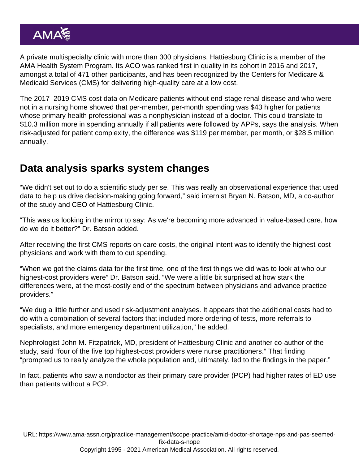A private multispecialty clinic with more than 300 physicians, Hattiesburg Clinic is a member of the [AMA Health System Program.](https://www.ama-assn.org/amaone/ama-health-system-engagement-program) Its ACO was ranked first in quality in its cohort in 2016 and 2017, amongst a total of 471 other participants, and has been recognized by the Centers for Medicare & Medicaid Services (CMS) for delivering high-quality care at a low cost.

The 2017–2019 CMS cost data on Medicare patients without end-stage renal disease and who were not in a nursing home showed that per-member, per-month spending was \$43 higher for patients whose primary health professional was a nonphysician instead of a doctor. This could translate to \$10.3 million more in spending annually if all patients were followed by APPs, says the analysis. When risk-adjusted for patient complexity, the difference was \$119 per member, per month, or \$28.5 million annually.

## Data analysis sparks system changes

"We didn't set out to do a scientific study per se. This was really an observational experience that used data to help us drive decision-making going forward," said internist Bryan N. Batson, MD, a co-author of the study and CEO of Hattiesburg Clinic.

"This was us looking in the mirror to say: As we're becoming more advanced in value-based care, how do we do it better?" Dr. Batson added.

After receiving the first CMS reports on care costs, the original intent was to identify the highest-cost physicians and work with them to cut spending.

"When we got the claims data for the first time, one of the first things we did was to look at who our highest-cost providers were" Dr. Batson said. "We were a little bit surprised at how stark the differences were, at the most-costly end of the spectrum between physicians and advance practice providers."

"We dug a little further and used risk-adjustment analyses. It appears that the additional costs had to do with a combination of several factors that included more ordering of tests, more referrals to specialists, and more emergency department utilization," he added.

Nephrologist John M. Fitzpatrick, MD, president of Hattiesburg Clinic and another co-author of the study, said "four of the five top highest-cost providers were nurse practitioners." That finding "prompted us to really analyze the whole population and, ultimately, led to the findings in the paper."

In fact, patients who saw a nondoctor as their primary care provider (PCP) had higher rates of ED use than patients without a PCP.

URL: [https://www.ama-assn.org/practice-management/scope-practice/amid-doctor-shortage-nps-and-pas-seemed](https://www.ama-assn.org/practice-management/scope-practice/amid-doctor-shortage-nps-and-pas-seemed-fix-data-s-nope)[fix-data-s-nope](https://www.ama-assn.org/practice-management/scope-practice/amid-doctor-shortage-nps-and-pas-seemed-fix-data-s-nope)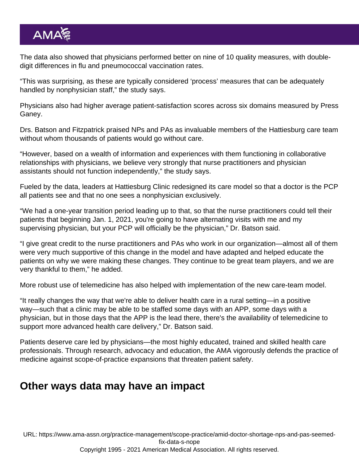The data also showed that physicians performed better on nine of 10 quality measures, with doubledigit differences in flu and pneumococcal vaccination rates.

"This was surprising, as these are typically considered 'process' measures that can be adequately handled by nonphysician staff," the study says.

Physicians also had higher average patient-satisfaction scores across six domains measured by Press Ganey.

Drs. Batson and Fitzpatrick praised NPs and PAs as invaluable members of the Hattiesburg care team without whom thousands of patients would go without care.

"However, based on a wealth of information and experiences with them functioning in collaborative relationships with physicians, we believe very strongly that nurse practitioners and physician assistants should not function independently," the study says.

Fueled by the data, leaders at Hattiesburg Clinic redesigned its care model so that a doctor is the PCP all patients see and that no one sees a nonphysician exclusively.

"We had a one-year transition period leading up to that, so that the nurse practitioners could tell their patients that beginning Jan. 1, 2021, you're going to have alternating visits with me and my supervising physician, but your PCP will officially be the physician," Dr. Batson said.

"I give great credit to the nurse practitioners and PAs who work in our organization—almost all of them were very much supportive of this change in the model and have adapted and helped educate the patients on why we were making these changes. They continue to be great team players, and we are very thankful to them," he added.

More robust use of telemedicine has also helped with implementation of the new care-team model.

"It really changes the way that we're able to deliver health care in a rural setting—in a positive way—such that a clinic may be able to be staffed some days with an APP, some days with a physician, but in those days that the APP is the lead there, there's the availability of telemedicine to support more advanced health care delivery," Dr. Batson said.

Patients deserve care led by physicians—the most highly educated, trained and skilled health care professionals. Through research, advocacy and education, the [AMA vigorously defends the practice of](https://www.ama-assn.org/practice-management/scope-practice/ama-successfully-fights-scope-practice-expansions-threaten) [medicine against scope-of-practice expansions](https://www.ama-assn.org/practice-management/scope-practice/ama-successfully-fights-scope-practice-expansions-threaten) that threaten patient safety.

## Other ways data may have an impact

URL: [https://www.ama-assn.org/practice-management/scope-practice/amid-doctor-shortage-nps-and-pas-seemed](https://www.ama-assn.org/practice-management/scope-practice/amid-doctor-shortage-nps-and-pas-seemed-fix-data-s-nope)[fix-data-s-nope](https://www.ama-assn.org/practice-management/scope-practice/amid-doctor-shortage-nps-and-pas-seemed-fix-data-s-nope)